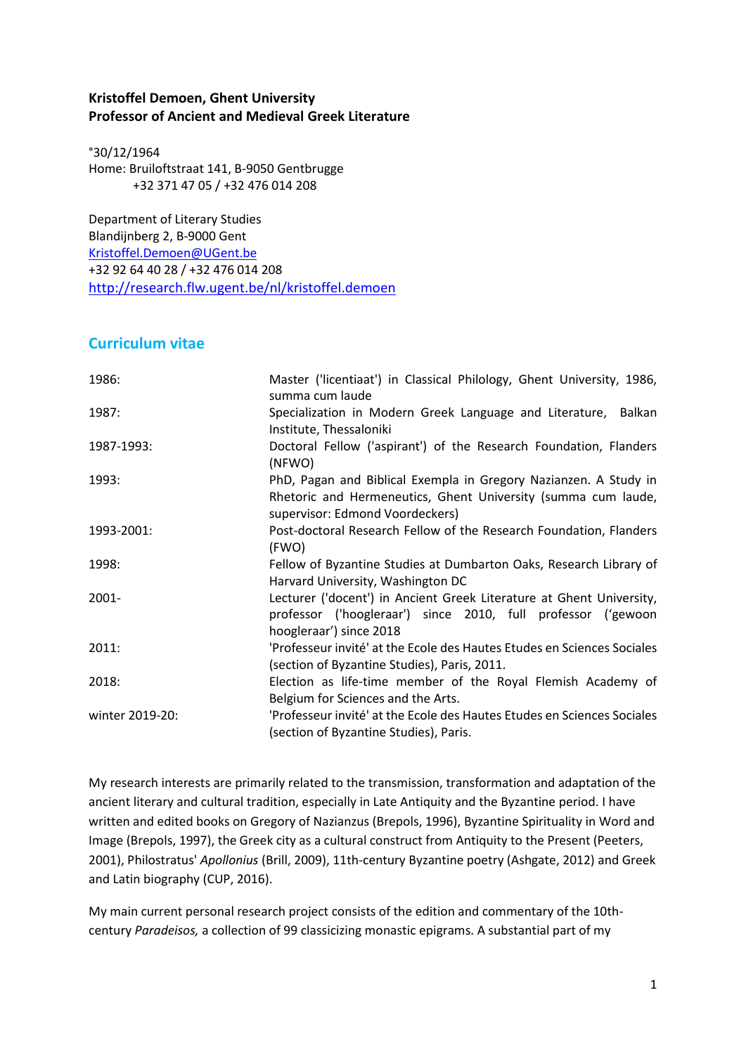### **Kristoffel Demoen, Ghent University Professor of Ancient and Medieval Greek Literature**

°30/12/1964 Home: Bruiloftstraat 141, B-9050 Gentbrugge +32 371 47 05 / +32 476 014 208

Department of Literary Studies Blandijnberg 2, B-9000 Gent [Kristoffel.Demoen@UGent.be](mailto:Kristoffel.Demoen@UGent.be) +32 92 64 40 28 / +32 476 014 208 <http://research.flw.ugent.be/nl/kristoffel.demoen>

## **Curriculum vitae**

| 1986:           | Master ('licentiaat') in Classical Philology, Ghent University, 1986,<br>summa cum laude                                                                             |
|-----------------|----------------------------------------------------------------------------------------------------------------------------------------------------------------------|
| 1987:           | Specialization in Modern Greek Language and Literature, Balkan<br>Institute, Thessaloniki                                                                            |
| 1987-1993:      | Doctoral Fellow ('aspirant') of the Research Foundation, Flanders<br>(NFWO)                                                                                          |
| 1993:           | PhD, Pagan and Biblical Exempla in Gregory Nazianzen. A Study in<br>Rhetoric and Hermeneutics, Ghent University (summa cum laude,<br>supervisor: Edmond Voordeckers) |
| 1993-2001:      | Post-doctoral Research Fellow of the Research Foundation, Flanders<br>(FWO)                                                                                          |
| 1998:           | Fellow of Byzantine Studies at Dumbarton Oaks, Research Library of<br>Harvard University, Washington DC                                                              |
| $2001 -$        | Lecturer ('docent') in Ancient Greek Literature at Ghent University,<br>professor ('hoogleraar') since 2010, full professor ('gewoon<br>hoogleraar') since 2018      |
| 2011:           | 'Professeur invité' at the Ecole des Hautes Etudes en Sciences Sociales<br>(section of Byzantine Studies), Paris, 2011.                                              |
| 2018:           | Election as life-time member of the Royal Flemish Academy of<br>Belgium for Sciences and the Arts.                                                                   |
| winter 2019-20: | 'Professeur invité' at the Ecole des Hautes Etudes en Sciences Sociales<br>(section of Byzantine Studies), Paris.                                                    |

My research interests are primarily related to the transmission, transformation and adaptation of the ancient literary and cultural tradition, especially in Late Antiquity and the Byzantine period. I have written and edited books on Gregory of Nazianzus (Brepols, 1996), Byzantine Spirituality in Word and Image (Brepols, 1997), the Greek city as a cultural construct from Antiquity to the Present (Peeters, 2001), Philostratus' *Apollonius* (Brill, 2009), 11th-century Byzantine poetry (Ashgate, 2012) and Greek and Latin biography (CUP, 2016).

My main current personal research project consists of the edition and commentary of the 10thcentury *Paradeisos,* a collection of 99 classicizing monastic epigrams. A substantial part of my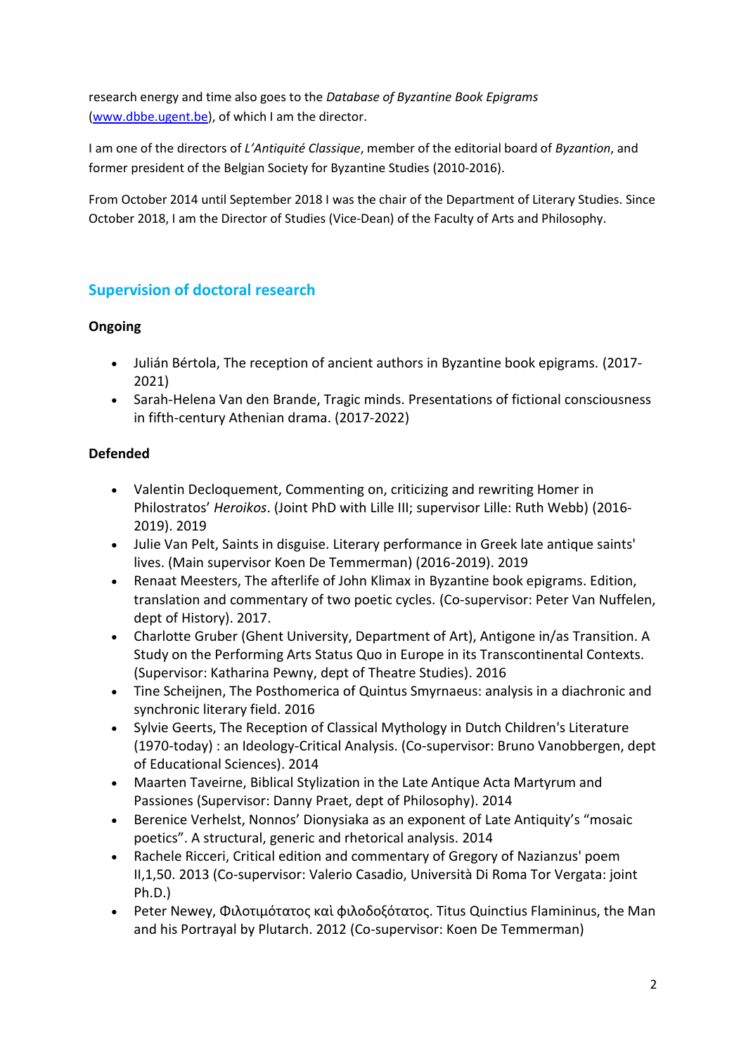research energy and time also goes to the *Database of Byzantine Book Epigrams*  [\(www.dbbe.ugent.be\)](http://www.dbbe.ugent.be/), of which I am the director.

I am one of the directors of *L'Antiquité Classique*, member of the editorial board of *Byzantion*, and former president of the Belgian Society for Byzantine Studies (2010-2016).

From October 2014 until September 2018 I was the chair of the Department of Literary Studies. Since October 2018, I am the Director of Studies (Vice-Dean) of the Faculty of Arts and Philosophy.

# **Supervision of doctoral research**

## **Ongoing**

- Julián Bértola, The reception of ancient authors in Byzantine book epigrams. (2017- 2021)
- Sarah-Helena Van den Brande, Tragic minds. Presentations of fictional consciousness in fifth-century Athenian drama. (2017-2022)

### **Defended**

- Valentin Decloquement, Commenting on, criticizing and rewriting Homer in Philostratos' *Heroikos*. (Joint PhD with Lille III; supervisor Lille: Ruth Webb) (2016- 2019). 2019
- Julie Van Pelt, Saints in disguise. Literary performance in Greek late antique saints' lives. (Main supervisor Koen De Temmerman) (2016-2019). 2019
- Renaat Meesters, The afterlife of John Klimax in Byzantine book epigrams. Edition, translation and commentary of two poetic cycles*.* (Co-supervisor: Peter Van Nuffelen, dept of History). 2017.
- Charlotte Gruber (Ghent University, Department of Art), Antigone in/as Transition. A Study on the Performing Arts Status Quo in Europe in its Transcontinental Contexts. (Supervisor: Katharina Pewny, dept of Theatre Studies). 2016
- Tine Scheijnen, The Posthomerica of Quintus Smyrnaeus: analysis in a diachronic and synchronic literary field. 2016
- Sylvie Geerts, The Reception of Classical Mythology in Dutch Children's Literature (1970-today) : an Ideology-Critical Analysis. (Co-supervisor: Bruno Vanobbergen, dept of Educational Sciences). 2014
- Maarten Taveirne, Biblical Stylization in the Late Antique Acta Martyrum and Passiones (Supervisor: Danny Praet, dept of Philosophy). 2014
- Berenice Verhelst, Nonnos' Dionysiaka as an exponent of Late Antiquity's "mosaic poetics". A structural, generic and rhetorical analysis. 2014
- Rachele Ricceri, Critical edition and commentary of Gregory of Nazianzus' poem II,1,50. 2013 (Co-supervisor: Valerio Casadio, Università Di Roma Tor Vergata: joint Ph.D.)
- Peter Newey, Φιλοτιμότατος καὶ φιλοδοξότατος. Titus Quinctius Flamininus, the Man and his Portrayal by Plutarch. 2012 (Co-supervisor: Koen De Temmerman)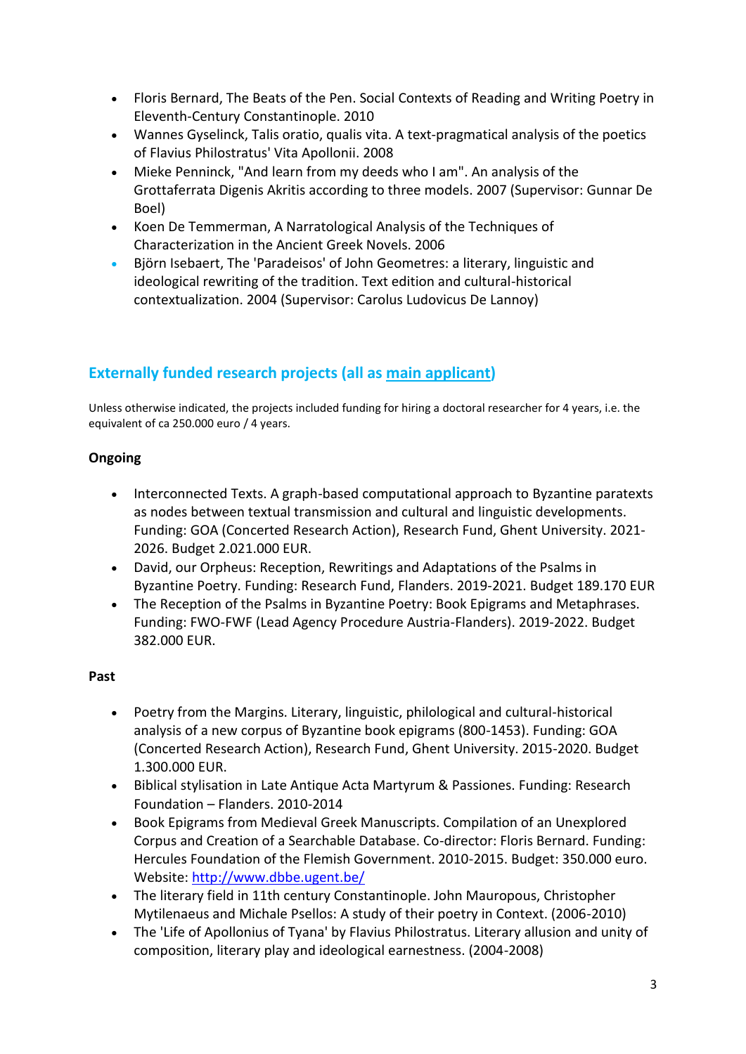- Floris Bernard, The Beats of the Pen. Social Contexts of Reading and Writing Poetry in Eleventh-Century Constantinople. 2010
- Wannes Gyselinck, Talis oratio, qualis vita. A text-pragmatical analysis of the poetics of Flavius Philostratus' Vita Apollonii. 2008
- Mieke Penninck, "And learn from my deeds who I am". An analysis of the Grottaferrata Digenis Akritis according to three models. 2007 (Supervisor: Gunnar De Boel)
- Koen De Temmerman, A Narratological Analysis of the Techniques of Characterization in the Ancient Greek Novels. 2006
- Björn Isebaert, The 'Paradeisos' of John Geometres: a literary, linguistic and ideological rewriting of the tradition. Text edition and cultural-historical contextualization. 2004 (Supervisor: Carolus Ludovicus De Lannoy)

# **Externally funded research projects (all as main applicant)**

Unless otherwise indicated, the projects included funding for hiring a doctoral researcher for 4 years, i.e. the equivalent of ca 250.000 euro / 4 years.

### **Ongoing**

- Interconnected Texts. A graph-based computational approach to Byzantine paratexts as nodes between textual transmission and cultural and linguistic developments. Funding: GOA (Concerted Research Action), Research Fund, Ghent University. 2021- 2026. Budget 2.021.000 EUR.
- David, our Orpheus: Reception, Rewritings and Adaptations of the Psalms in Byzantine Poetry. Funding: Research Fund, Flanders. 2019-2021. Budget 189.170 EUR
- The Reception of the Psalms in Byzantine Poetry: Book Epigrams and Metaphrases. Funding: FWO-FWF (Lead Agency Procedure Austria-Flanders). 2019-2022. Budget 382.000 EUR.

### **Past**

- Poetry from the Margins. Literary, linguistic, philological and cultural-historical analysis of a new corpus of Byzantine book epigrams (800-1453). Funding: GOA (Concerted Research Action), Research Fund, Ghent University. 2015-2020. Budget 1.300.000 EUR.
- Biblical stylisation in Late Antique Acta Martyrum & Passiones. Funding: Research Foundation – Flanders. 2010-2014
- Book Epigrams from Medieval Greek Manuscripts. Compilation of an Unexplored Corpus and Creation of a Searchable Database. Co-director: Floris Bernard. Funding: Hercules Foundation of the Flemish Government. 2010-2015. Budget: 350.000 euro. Website:<http://www.dbbe.ugent.be/>
- The literary field in 11th century Constantinople. John Mauropous, Christopher Mytilenaeus and Michale Psellos: A study of their poetry in Context. (2006-2010)
- The 'Life of Apollonius of Tyana' by Flavius Philostratus. Literary allusion and unity of composition, literary play and ideological earnestness. (2004-2008)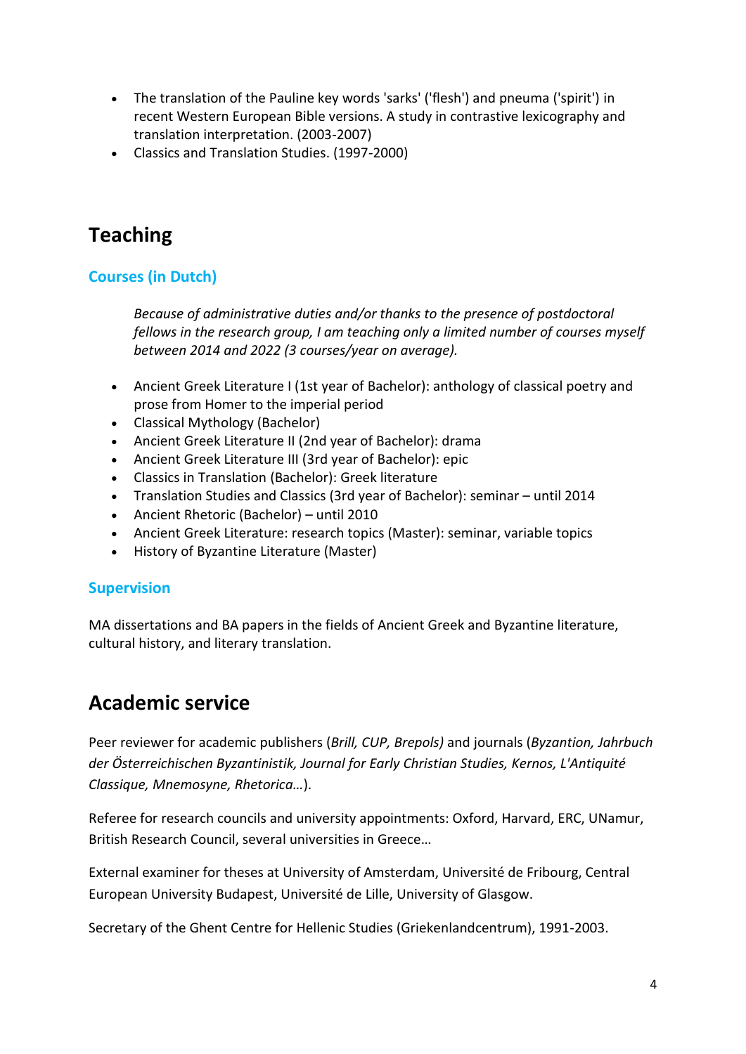- The translation of the Pauline key words 'sarks' ('flesh') and pneuma ('spirit') in recent Western European Bible versions. A study in contrastive lexicography and translation interpretation. (2003-2007)
- Classics and Translation Studies. (1997-2000)

# **Teaching**

# **Courses (in Dutch)**

*Because of administrative duties and/or thanks to the presence of postdoctoral fellows in the research group, I am teaching only a limited number of courses myself between 2014 and 2022 (3 courses/year on average).*

- Ancient Greek Literature I (1st year of Bachelor): anthology of classical poetry and prose from Homer to the imperial period
- Classical Mythology (Bachelor)
- Ancient Greek Literature II (2nd year of Bachelor): drama
- Ancient Greek Literature III (3rd year of Bachelor): epic
- Classics in Translation (Bachelor): Greek literature
- Translation Studies and Classics (3rd year of Bachelor): seminar until 2014
- Ancient Rhetoric (Bachelor) until 2010
- Ancient Greek Literature: research topics (Master): seminar, variable topics
- History of Byzantine Literature (Master)

## **Supervision**

MA dissertations and BA papers in the fields of Ancient Greek and Byzantine literature, cultural history, and literary translation.

# **Academic service**

Peer reviewer for academic publishers (*Brill, CUP, Brepols)* and journals (*Byzantion, Jahrbuch der Österreichischen Byzantinistik, Journal for Early Christian Studies, Kernos, L'Antiquité Classique, Mnemosyne, Rhetorica…*).

Referee for research councils and university appointments: Oxford, Harvard, ERC, UNamur, British Research Council, several universities in Greece…

External examiner for theses at University of Amsterdam, Université de Fribourg, Central European University Budapest, Université de Lille, University of Glasgow.

Secretary of the Ghent Centre for Hellenic Studies (Griekenlandcentrum), 1991-2003.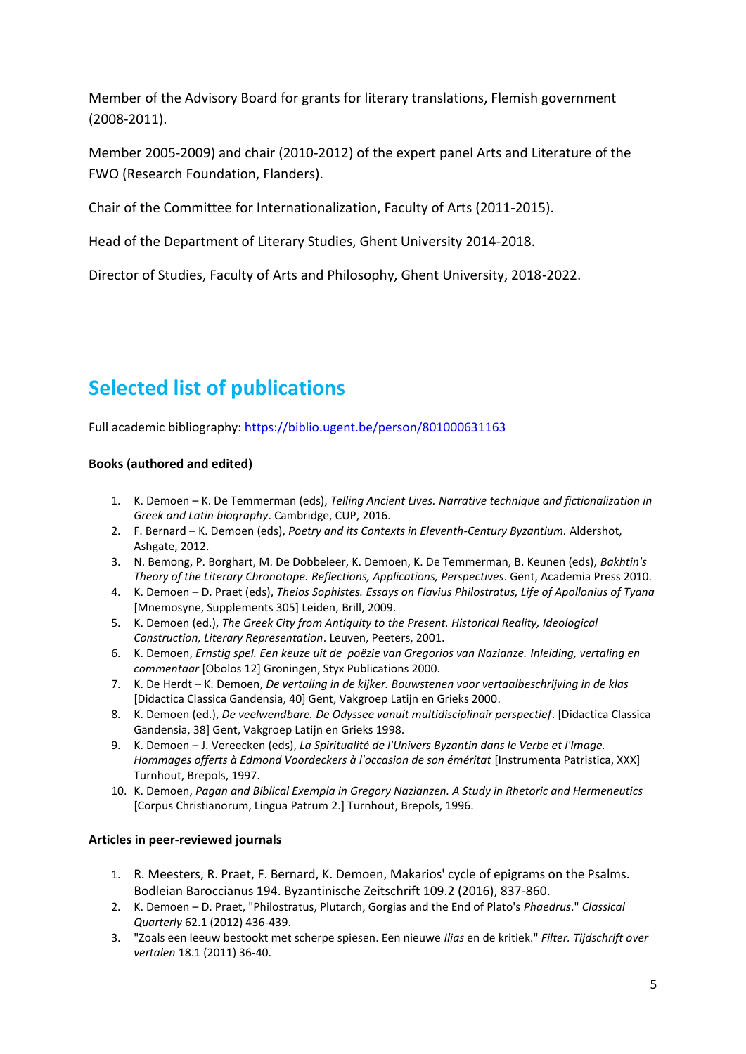Member of the Advisory Board for grants for literary translations, Flemish government (2008-2011).

Member 2005-2009) and chair (2010-2012) of the expert panel Arts and Literature of the FWO (Research Foundation, Flanders).

Chair of the Committee for Internationalization, Faculty of Arts (2011-2015).

Head of the Department of Literary Studies, Ghent University 2014-2018.

Director of Studies, Faculty of Arts and Philosophy, Ghent University, 2018-2022.

# **Selected list of publications**

Full academic bibliography:<https://biblio.ugent.be/person/801000631163>

### **Books (authored and edited)**

- 1. K. Demoen K. De Temmerman (eds), *Telling Ancient Lives. Narrative technique and fictionalization in Greek and Latin biography*. Cambridge, CUP, 2016.
- 2. F. Bernard K. Demoen (eds), *Poetry and its Contexts in Eleventh-Century Byzantium.* Aldershot, Ashgate, 2012.
- 3. N. Bemong, P. Borghart, M. De Dobbeleer, K. Demoen, K. De Temmerman, B. Keunen (eds), *Bakhtin's Theory of the Literary Chronotope. Reflections, Applications, Perspectives*. Gent, Academia Press 2010.
- 4. K. Demoen D. Praet (eds), *Theios Sophistes. Essays on Flavius Philostratus, Life of Apollonius of Tyana* [Mnemosyne, Supplements 305] Leiden, Brill, 2009.
- 5. K. Demoen (ed.), *The Greek City from Antiquity to the Present. Historical Reality, Ideological Construction, Literary Representation*. Leuven, Peeters, 2001.
- 6. K. Demoen, *Ernstig spel. Een keuze uit de poëzie van Gregorios van Nazianze. Inleiding, vertaling en commentaar* [Obolos 12] Groningen, Styx Publications 2000.
- 7. K. De Herdt K. Demoen, *De vertaling in de kijker. Bouwstenen voor vertaalbeschrijving in de klas* [Didactica Classica Gandensia, 40] Gent, Vakgroep Latijn en Grieks 2000.
- 8. K. Demoen (ed.), *De veelwendbare. De Odyssee vanuit multidisciplinair perspectief*. [Didactica Classica Gandensia, 38] Gent, Vakgroep Latijn en Grieks 1998.
- 9. K. Demoen J. Vereecken (eds), *La Spiritualité de l'Univers Byzantin dans le Verbe et l'Image. Hommages offerts à Edmond Voordeckers à l'occasion de son éméritat* [Instrumenta Patristica, XXX] Turnhout, Brepols, 1997.
- 10. K. Demoen, *Pagan and Biblical Exempla in Gregory Nazianzen. A Study in Rhetoric and Hermeneutics* [Corpus Christianorum, Lingua Patrum 2.] Turnhout, Brepols, 1996.

### **Articles in peer-reviewed journals**

- 1. R. Meesters, R. Praet, F. Bernard, K. Demoen, Makarios' cycle of epigrams on the Psalms. Bodleian Baroccianus 194. Byzantinische Zeitschrift 109.2 (2016), 837-860.
- 2. K. Demoen D. Praet, "Philostratus, Plutarch, Gorgias and the End of Plato's *Phaedrus*." *Classical Quarterly* 62.1 (2012) 436-439.
- 3. "Zoals een leeuw bestookt met scherpe spiesen. Een nieuwe *Ilias* en de kritiek." *Filter. Tijdschrift over vertalen* 18.1 (2011) 36-40.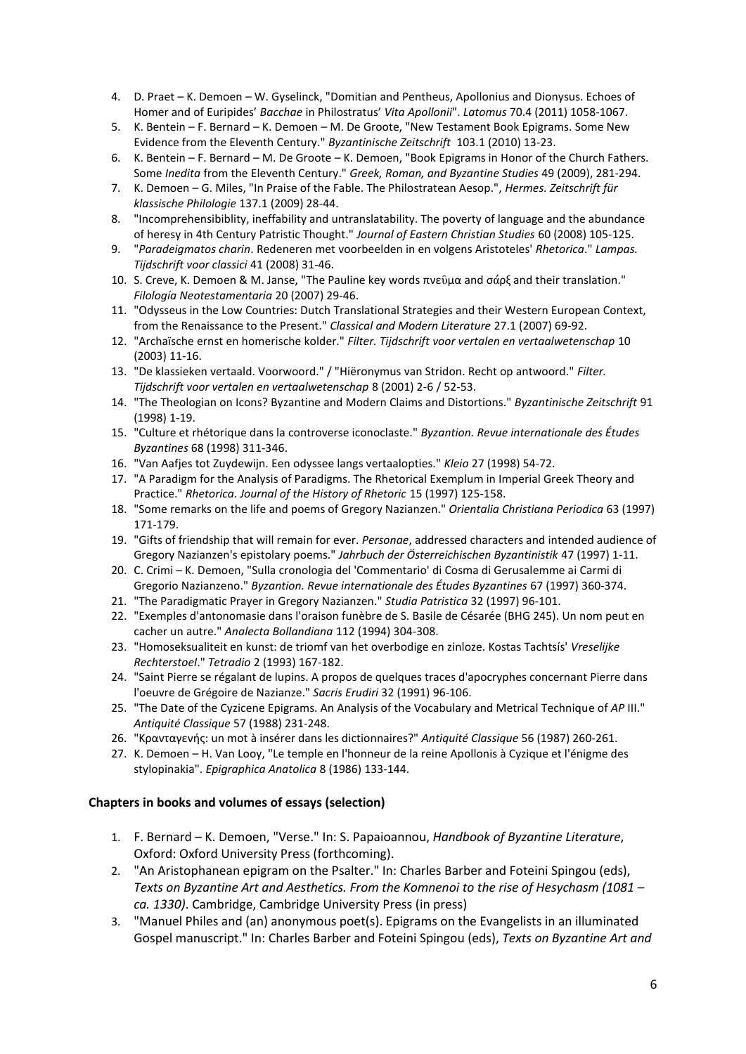- 4. D. Praet K. Demoen W. Gyselinck, "Domitian and Pentheus, Apollonius and Dionysus. Echoes of Homer and of Euripides' *Bacchae* in Philostratus' *Vita Apollonii*". *Latomus* 70.4 (2011) 1058-1067.
- 5. K. Bentein F. Bernard K. Demoen M. De Groote, "New Testament Book Epigrams. Some New Evidence from the Eleventh Century." *Byzantinische Zeitschrift* 103.1 (2010) 13-23.
- 6. K. Bentein F. Bernard M. De Groote K. Demoen, "Book Epigrams in Honor of the Church Fathers. Some *Inedita* from the Eleventh Century." *Greek, Roman, and Byzantine Studies* 49 (2009), 281-294.
- 7. K. Demoen G. Miles, "In Praise of the Fable. The Philostratean Aesop.", *Hermes. Zeitschrift für klassische Philologie* 137.1 (2009) 28-44.
- 8. "Incomprehensibiblity, ineffability and untranslatability. The poverty of language and the abundance of heresy in 4th Century Patristic Thought." *Journal of Eastern Christian Studies* 60 (2008) 105-125.
- 9. "*Paradeigmatos charin*. Redeneren met voorbeelden in en volgens Aristoteles' *Rhetorica*." *Lampas. Tijdschrift voor classici* 41 (2008) 31-46.
- 10. S. Creve, K. Demoen & M. Janse, "The Pauline key words πνεῦμα and σάρξ and their translation." *Filología Neotestamentaria* 20 (2007) 29-46.
- 11. "Odysseus in the Low Countries: Dutch Translational Strategies and their Western European Context, from the Renaissance to the Present." *Classical and Modern Literature* 27.1 (2007) 69-92.
- 12. "Archaïsche ernst en homerische kolder." *Filter. Tijdschrift voor vertalen en vertaalwetenschap* 10 (2003) 11-16.
- 13. "De klassieken vertaald. Voorwoord." / "Hiëronymus van Stridon. Recht op antwoord." *Filter. Tijdschrift voor vertalen en vertaalwetenschap* 8 (2001) 2-6 / 52-53.
- 14. "The Theologian on Icons? Byzantine and Modern Claims and Distortions." *Byzantinische Zeitschrift* 91 (1998) 1-19.
- 15. "Culture et rhétorique dans la controverse iconoclaste." *Byzantion. Revue internationale des Études Byzantines* 68 (1998) 311-346.
- 16. "Van Aafjes tot Zuydewijn. Een odyssee langs vertaalopties." *Kleio* 27 (1998) 54-72.
- 17. "A Paradigm for the Analysis of Paradigms. The Rhetorical Exemplum in Imperial Greek Theory and Practice." *Rhetorica. Journal of the History of Rhetoric* 15 (1997) 125-158.
- 18. "Some remarks on the life and poems of Gregory Nazianzen." *Orientalia Christiana Periodica* 63 (1997) 171-179.
- 19. "Gifts of friendship that will remain for ever. *Personae*, addressed characters and intended audience of Gregory Nazianzen's epistolary poems." *Jahrbuch der Österreichischen Byzantinistik* 47 (1997) 1-11.
- 20. C. Crimi K. Demoen, "Sulla cronologia del 'Commentario' di Cosma di Gerusalemme ai Carmi di Gregorio Nazianzeno." *Byzantion. Revue internationale des Études Byzantines* 67 (1997) 360-374.
- 21. "The Paradigmatic Prayer in Gregory Nazianzen." *Studia Patristica* 32 (1997) 96-101.
- 22. "Exemples d'antonomasie dans l'oraison funèbre de S. Basile de Césarée (BHG 245). Un nom peut en cacher un autre." *Analecta Bollandiana* 112 (1994) 304-308.
- 23. "Homoseksualiteit en kunst: de triomf van het overbodige en zinloze. Kostas Tachtsís' *Vreselijke Rechterstoel*." *Tetradio* 2 (1993) 167-182.
- 24. "Saint Pierre se régalant de lupins. A propos de quelques traces d'apocryphes concernant Pierre dans l'oeuvre de Grégoire de Nazianze." *Sacris Erudiri* 32 (1991) 96-106.
- 25. "The Date of the Cyzicene Epigrams. An Analysis of the Vocabulary and Metrical Technique of *AP* III." *Antiquité Classique* 57 (1988) 231-248.
- 26. "Κρανταγενής: un mot à insérer dans les dictionnaires?" *Antiquité Classique* 56 (1987) 260-261.
- 27. K. Demoen H. Van Looy, "Le temple en l'honneur de la reine Apollonis à Cyzique et l'énigme des stylopinakia". *Epigraphica Anatolica* 8 (1986) 133-144.

#### **Chapters in books and volumes of essays (selection)**

- 1. F. Bernard K. Demoen, "Verse." In: S. Papaioannou, *Handbook of Byzantine Literature*, Oxford: Oxford University Press (forthcoming).
- 2. "An Aristophanean epigram on the Psalter." In: Charles Barber and Foteini Spingou (eds), *Texts on Byzantine Art and Aesthetics. From the Komnenoi to the rise of Hesychasm (1081 – ca. 1330)*. Cambridge, Cambridge University Press (in press)
- 3. "Manuel Philes and (an) anonymous poet(s). Epigrams on the Evangelists in an illuminated Gospel manuscript." In: Charles Barber and Foteini Spingou (eds), *Texts on Byzantine Art and*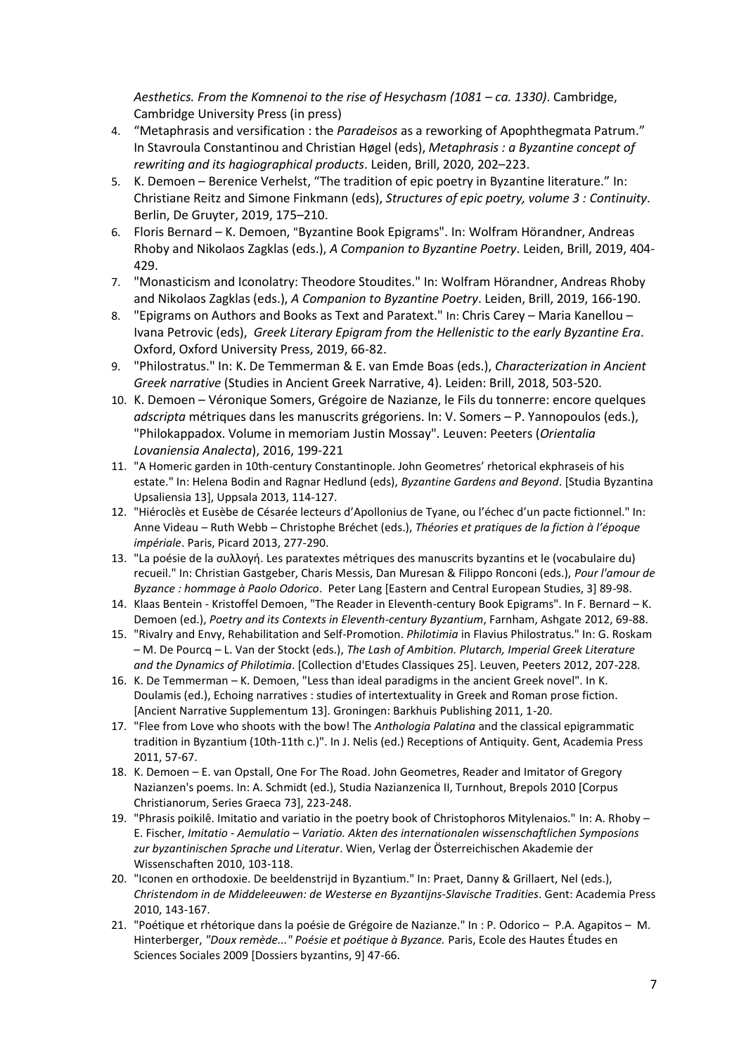Aesthetics. From the Komnenoi to the rise of Hesychasm (1081 – ca. 1330). Cambridge, Cambridge University Press (in press)

- 4. "Metaphrasis and versification : the *Paradeisos* as a reworking of Apophthegmata Patrum." In Stavroula Constantinou and Christian Høgel (eds), *Metaphrasis : a Byzantine concept of rewriting and its hagiographical products*. Leiden, Brill, 2020, 202–223.
- 5. K. Demoen Berenice Verhelst, "The tradition of epic poetry in Byzantine literature." In: Christiane Reitz and Simone Finkmann (eds), *Structures of epic poetry, volume 3 : Continuity*. Berlin, De Gruyter, 2019, 175–210.
- 6. Floris Bernard K. Demoen, "Byzantine Book Epigrams". In: Wolfram Hörandner, Andreas Rhoby and Nikolaos Zagklas (eds.), *A Companion to Byzantine Poetry*. Leiden, Brill, 2019, 404- 429.
- 7. "Monasticism and Iconolatry: Theodore Stoudites." In: Wolfram Hörandner, Andreas Rhoby and Nikolaos Zagklas (eds.), *A Companion to Byzantine Poetry*. Leiden, Brill, 2019, 166-190.
- 8. "Epigrams on Authors and Books as Text and Paratext." In: Chris Carey Maria Kanellou Ivana Petrovic (eds), *Greek Literary Epigram from the Hellenistic to the early Byzantine Era*. Oxford, Oxford University Press, 2019, 66-82.
- 9. "Philostratus." In: K. De Temmerman & E. van Emde Boas (eds.), *Characterization in Ancient Greek narrative* (Studies in Ancient Greek Narrative, 4). Leiden: Brill, 2018, 503-520.
- 10. K. Demoen Véronique Somers, Grégoire de Nazianze, le Fils du tonnerre: encore quelques *adscripta* métriques dans les manuscrits grégoriens. In: V. Somers – P. Yannopoulos (eds.), "Philokappadox. Volume in memoriam Justin Mossay". Leuven: Peeters (*Orientalia Lovaniensia Analecta*), 2016, 199-221
- 11. "A Homeric garden in 10th-century Constantinople. John Geometres' rhetorical ekphraseis of his estate." In: Helena Bodin and Ragnar Hedlund (eds), *Byzantine Gardens and Beyond*. [Studia Byzantina Upsaliensia 13], Uppsala 2013, 114-127.
- 12. "Hiéroclès et Eusèbe de Césarée lecteurs d'Apollonius de Tyane, ou l'échec d'un pacte fictionnel." In: Anne Videau – Ruth Webb – Christophe Bréchet (eds.), *Théories et pratiques de la fiction à l'époque impériale*. Paris, Picard 2013, 277-290.
- 13. "La poésie de la συλλογή. Les paratextes métriques des manuscrits byzantins et le (vocabulaire du) recueil." In: Christian Gastgeber, Charis Messis, Dan Muresan & Filippo Ronconi (eds.), *Pour l'amour de Byzance : hommage à Paolo Odorico*. Peter Lang [Eastern and Central European Studies, 3] 89-98.
- 14. Klaas Bentein Kristoffel Demoen, "The Reader in Eleventh-century Book Epigrams". In F. Bernard K. Demoen (ed.), *Poetry and its Contexts in Eleventh-century Byzantium*, Farnham, Ashgate 2012, 69-88.
- 15. "Rivalry and Envy, Rehabilitation and Self-Promotion. *Philotimia* in Flavius Philostratus." In: G. Roskam – M. De Pourcq – L. Van der Stockt (eds.), *The Lash of Ambition. Plutarch, Imperial Greek Literature and the Dynamics of Philotimia*. [Collection d'Etudes Classiques 25]. Leuven, Peeters 2012, 207-228.
- 16. K. De Temmerman K. Demoen, "Less than ideal paradigms in the ancient Greek novel". In K. Doulamis (ed.), Echoing narratives : studies of intertextuality in Greek and Roman prose fiction. [Ancient Narrative Supplementum 13]. Groningen: Barkhuis Publishing 2011, 1-20.
- 17. "Flee from Love who shoots with the bow! The *Anthologia Palatina* and the classical epigrammatic tradition in Byzantium (10th-11th c.)". In J. Nelis (ed.) Receptions of Antiquity. Gent, Academia Press 2011, 57-67.
- 18. K. Demoen E. van Opstall, One For The Road. John Geometres, Reader and Imitator of Gregory Nazianzen's poems. In: A. Schmidt (ed.), Studia Nazianzenica II, Turnhout, Brepols 2010 [Corpus Christianorum, Series Graeca 73], 223-248.
- 19. "Phrasis poikilê. Imitatio and variatio in the poetry book of Christophoros Mitylenaios." In: A. Rhoby E. Fischer, *Imitatio - Aemulatio – Variatio. Akten des internationalen wissenschaftlichen Symposions zur byzantinischen Sprache und Literatur*. Wien, Verlag der Österreichischen Akademie der Wissenschaften 2010, 103-118.
- 20. "Iconen en orthodoxie. De beeldenstrijd in Byzantium." In: Praet, Danny & Grillaert, Nel (eds.), *Christendom in de Middeleeuwen: de Westerse en Byzantijns-Slavische Tradities*. Gent: Academia Press 2010, 143-167.
- 21. "Poétique et rhétorique dans la poésie de Grégoire de Nazianze." In : P. Odorico P.A. Agapitos M. Hinterberger, *"Doux remède..." Poésie et poétique à Byzance.* Paris, Ecole des Hautes Études en Sciences Sociales 2009 [Dossiers byzantins, 9] 47-66.